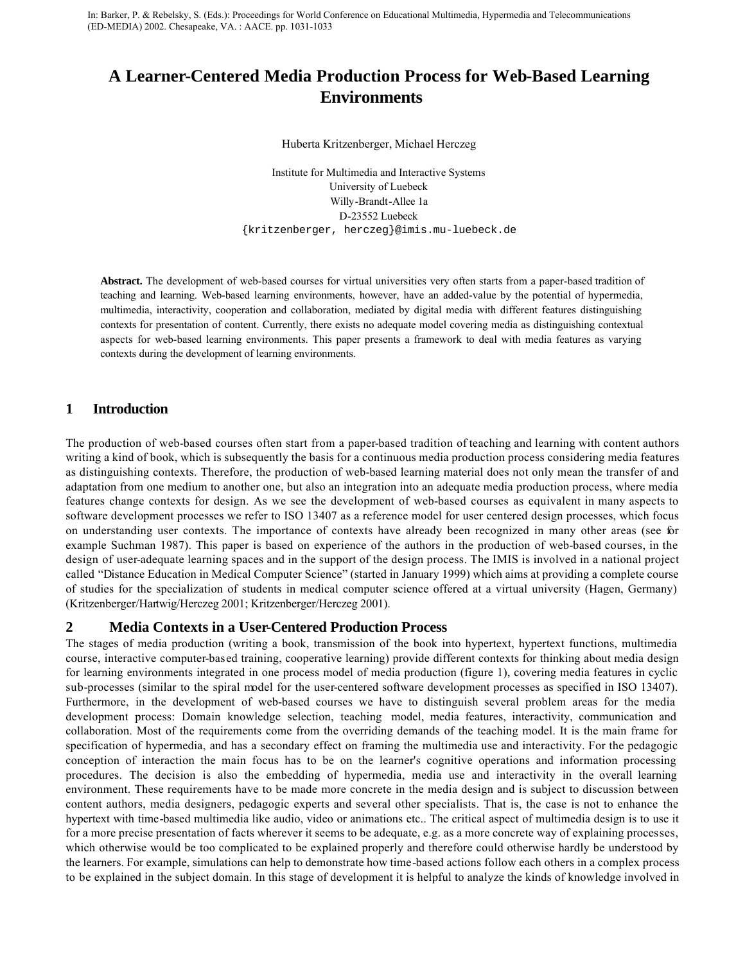In: Barker, P. & Rebelsky, S. (Eds.): Proceedings for World Conference on Educational Multimedia, Hypermedia and Telecommunications (ED-MEDIA) 2002. Chesapeake, VA. : AACE. pp. 1031-1033

# **A Learner-Centered Media Production Process for Web-Based Learning Environments**

Huberta Kritzenberger, Michael Herczeg

Institute for Multimedia and Interactive Systems University of Luebeck Willy-Brandt-Allee 1a D-23552 Luebeck {kritzenberger, herczeg}@imis.mu-luebeck.de

**Abstract.** The development of web-based courses for virtual universities very often starts from a paper-based tradition of teaching and learning. Web-based learning environments, however, have an added-value by the potential of hypermedia, multimedia, interactivity, cooperation and collaboration, mediated by digital media with different features distinguishing contexts for presentation of content. Currently, there exists no adequate model covering media as distinguishing contextual aspects for web-based learning environments. This paper presents a framework to deal with media features as varying contexts during the development of learning environments.

## **1 Introduction**

The production of web-based courses often start from a paper-based tradition of teaching and learning with content authors writing a kind of book, which is subsequently the basis for a continuous media production process considering media features as distinguishing contexts. Therefore, the production of web-based learning material does not only mean the transfer of and adaptation from one medium to another one, but also an integration into an adequate media production process, where media features change contexts for design. As we see the development of web-based courses as equivalent in many aspects to software development processes we refer to ISO 13407 as a reference model for user centered design processes, which focus on understanding user contexts. The importance of contexts have already been recognized in many other areas (see for example Suchman 1987). This paper is based on experience of the authors in the production of web-based courses, in the design of user-adequate learning spaces and in the support of the design process. The IMIS is involved in a national project called "Distance Education in Medical Computer Science" (started in January 1999) which aims at providing a complete course of studies for the specialization of students in medical computer science offered at a virtual university (Hagen, Germany) (Kritzenberger/Hartwig/Herczeg 2001; Kritzenberger/Herczeg 2001).

### **2 Media Contexts in a User-Centered Production Process**

The stages of media production (writing a book, transmission of the book into hypertext, hypertext functions, multimedia course, interactive computer-based training, cooperative learning) provide different contexts for thinking about media design for learning environments integrated in one process model of media production (figure 1), covering media features in cyclic sub-processes (similar to the spiral model for the user-centered software development processes as specified in ISO 13407). Furthermore, in the development of web-based courses we have to distinguish several problem areas for the media development process: Domain knowledge selection, teaching model, media features, interactivity, communication and collaboration. Most of the requirements come from the overriding demands of the teaching model. It is the main frame for specification of hypermedia, and has a secondary effect on framing the multimedia use and interactivity. For the pedagogic conception of interaction the main focus has to be on the learner's cognitive operations and information processing procedures. The decision is also the embedding of hypermedia, media use and interactivity in the overall learning environment. These requirements have to be made more concrete in the media design and is subject to discussion between content authors, media designers, pedagogic experts and several other specialists. That is, the case is not to enhance the hypertext with time-based multimedia like audio, video or animations etc.. The critical aspect of multimedia design is to use it for a more precise presentation of facts wherever it seems to be adequate, e.g. as a more concrete way of explaining processes, which otherwise would be too complicated to be explained properly and therefore could otherwise hardly be understood by the learners. For example, simulations can help to demonstrate how time-based actions follow each others in a complex process to be explained in the subject domain. In this stage of development it is helpful to analyze the kinds of knowledge involved in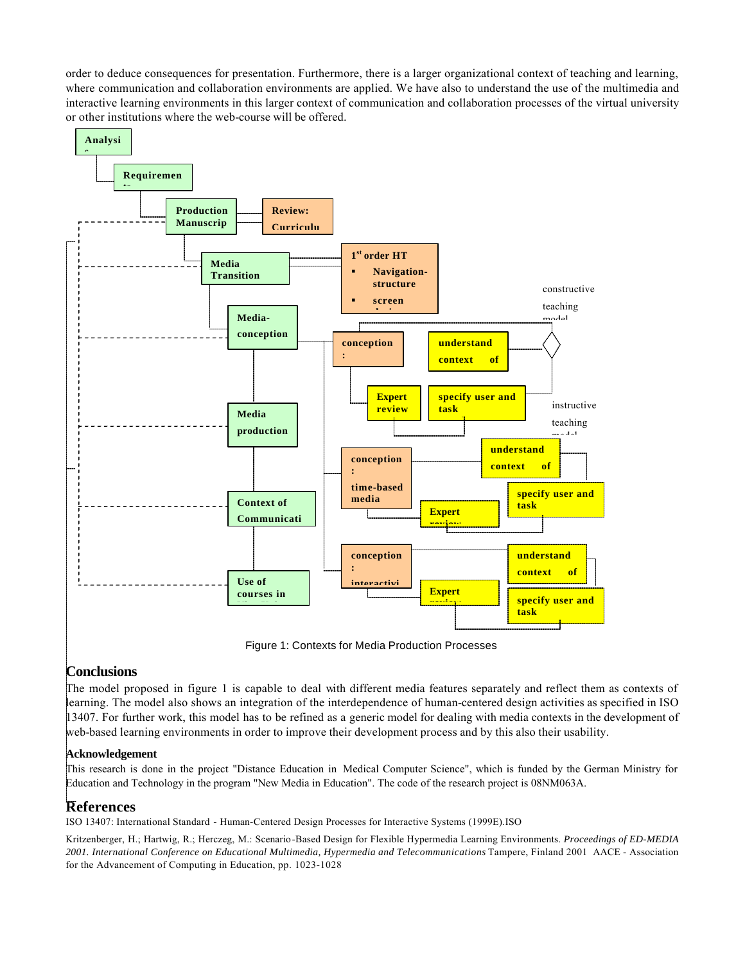order to deduce consequences for presentation. Furthermore, there is a larger organizational context of teaching and learning, where communication and collaboration environments are applied. We have also to understand the use of the multimedia and interactive learning environments in this larger context of communication and collaboration processes of the virtual university or other institutions where the web-course will be offered.



Figure 1: Contexts for Media Production Processes

# **Conclusions**

The model proposed in figure 1 is capable to deal with different media features separately and reflect them as contexts of learning. The model also shows an integration of the interdependence of human-centered design activities as specified in ISO 13407. For further work, this model has to be refined as a generic model for dealing with media contexts in the development of web-based learning environments in order to improve their development process and by this also their usability.

### **Acknowledgement**

This research is done in the project "Distance Education in Medical Computer Science", which is funded by the German Ministry for Education and Technology in the program "New Media in Education". The code of the research project is 08NM063A.

## **References**

ISO 13407: International Standard - Human-Centered Design Processes for Interactive Systems (1999E).ISO

Kritzenberger, H.; Hartwig, R.; Herczeg, M.: Scenario-Based Design for Flexible Hypermedia Learning Environments. *Proceedings of ED-MEDIA 2001. International Conference on Educational Multimedia, Hypermedia and Telecommunications* Tampere, Finland 2001 AACE - Association for the Advancement of Computing in Education, pp. 1023-1028